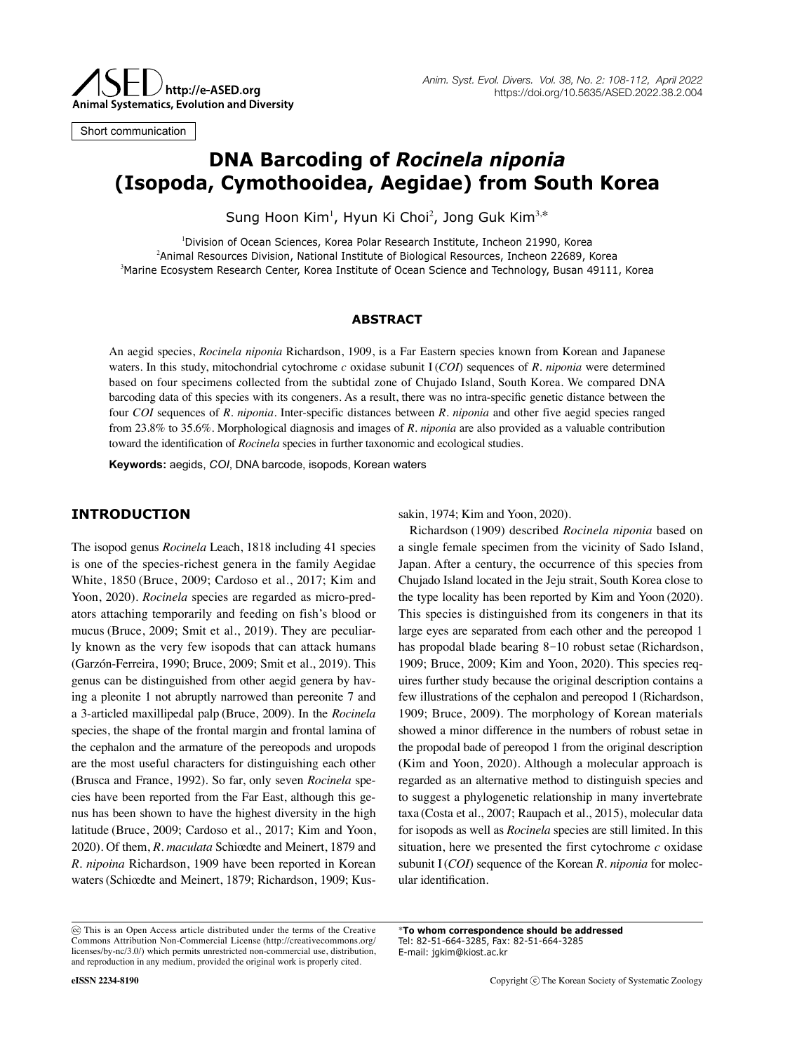

Short communication

# **DNA Barcoding of** *Rocinela niponia* **(Isopoda, Cymothooidea, Aegidae) from South Korea**

Sung Hoon Kim<sup>1</sup>, Hyun Ki Choi<sup>2</sup>, Jong Guk Kim<sup>3,\*</sup>

1 Division of Ocean Sciences, Korea Polar Research Institute, Incheon 21990, Korea 2 Animal Resources Division, National Institute of Biological Resources, Incheon 22689, Korea 3 Marine Ecosystem Research Center, Korea Institute of Ocean Science and Technology, Busan 49111, Korea

#### **ABSTRACT**

An aegid species, *Rocinela niponia* Richardson, 1909, is a Far Eastern species known from Korean and Japanese waters. In this study, mitochondrial cytochrome *c* oxidase subunit I (*COI*) sequences of *R. niponia* were determined based on four specimens collected from the subtidal zone of Chujado Island, South Korea. We compared DNA barcoding data of this species with its congeners. As a result, there was no intra-specific genetic distance between the four *COI* sequences of *R. niponia*. Inter-specific distances between *R. niponia* and other five aegid species ranged from 23.8% to 35.6%. Morphological diagnosis and images of *R. niponia* are also provided as a valuable contribution toward the identification of *Rocinela* species in further taxonomic and ecological studies.

**Keywords:** aegids, *COI*, DNA barcode, isopods, Korean waters

## **INTRODUCTION**

The isopod genus *Rocinela* Leach, 1818 including 41 species is one of the species-richest genera in the family Aegidae White, 1850 (Bruce, 2009; Cardoso et al., 2017; Kim and Yoon, 2020). *Rocinela* species are regarded as micro-predators attaching temporarily and feeding on fish's blood or mucus (Bruce, 2009; Smit et al., 2019). They are peculiarly known as the very few isopods that can attack humans (Garzón-Ferreira, 1990; Bruce, 2009; Smit et al., 2019). This genus can be distinguished from other aegid genera by having a pleonite 1 not abruptly narrowed than pereonite 7 and a 3-articled maxillipedal palp (Bruce, 2009). In the *Rocinela* species, the shape of the frontal margin and frontal lamina of the cephalon and the armature of the pereopods and uropods are the most useful characters for distinguishing each other (Brusca and France, 1992). So far, only seven *Rocinela* species have been reported from the Far East, although this genus has been shown to have the highest diversity in the high latitude (Bruce, 2009; Cardoso et al., 2017; Kim and Yoon, 2020). Of them, *R. maculata* Schiœdte and Meinert, 1879 and *R. nipoina* Richardson, 1909 have been reported in Korean waters(Schiœdte and Meinert, 1879; Richardson, 1909; Kussakin, 1974; Kim and Yoon, 2020).

Richardson (1909) described *Rocinela niponia* based on a single female specimen from the vicinity of Sado Island, Japan. After a century, the occurrence of this species from Chujado Island located in the Jeju strait, South Korea close to the type locality has been reported by Kim and Yoon (2020). This species is distinguished from its congeners in that its large eyes are separated from each other and the pereopod 1 has propodal blade bearing 8-10 robust setae (Richardson, 1909; Bruce, 2009; Kim and Yoon, 2020). This species requires further study because the original description contains a few illustrations of the cephalon and pereopod 1 (Richardson, 1909; Bruce, 2009). The morphology of Korean materials showed a minor difference in the numbers of robust setae in the propodal bade of pereopod 1 from the original description (Kim and Yoon, 2020). Although a molecular approach is regarded as an alternative method to distinguish species and to suggest a phylogenetic relationship in many invertebrate taxa (Costa et al., 2007; Raupach et al., 2015), molecular data for isopods as well as *Rocinela* species are still limited. In this situation, here we presented the first cytochrome *c* oxidase subunit Ⅰ(*COⅠ*) sequence of the Korean *R. niponia* for molecular identification.

\***To whom correspondence should be addressed** Tel: 82-51-664-3285, Fax: 82-51-664-3285 E-mail: jgkim@kiost.ac.kr

This is an Open Access article distributed under the terms of the Creative Commons Attribution Non-Commercial License (http://creativecommons.org/ licenses/by-nc/3.0/) which permits unrestricted non-commercial use, distribution, and reproduction in any medium, provided the original work is properly cited.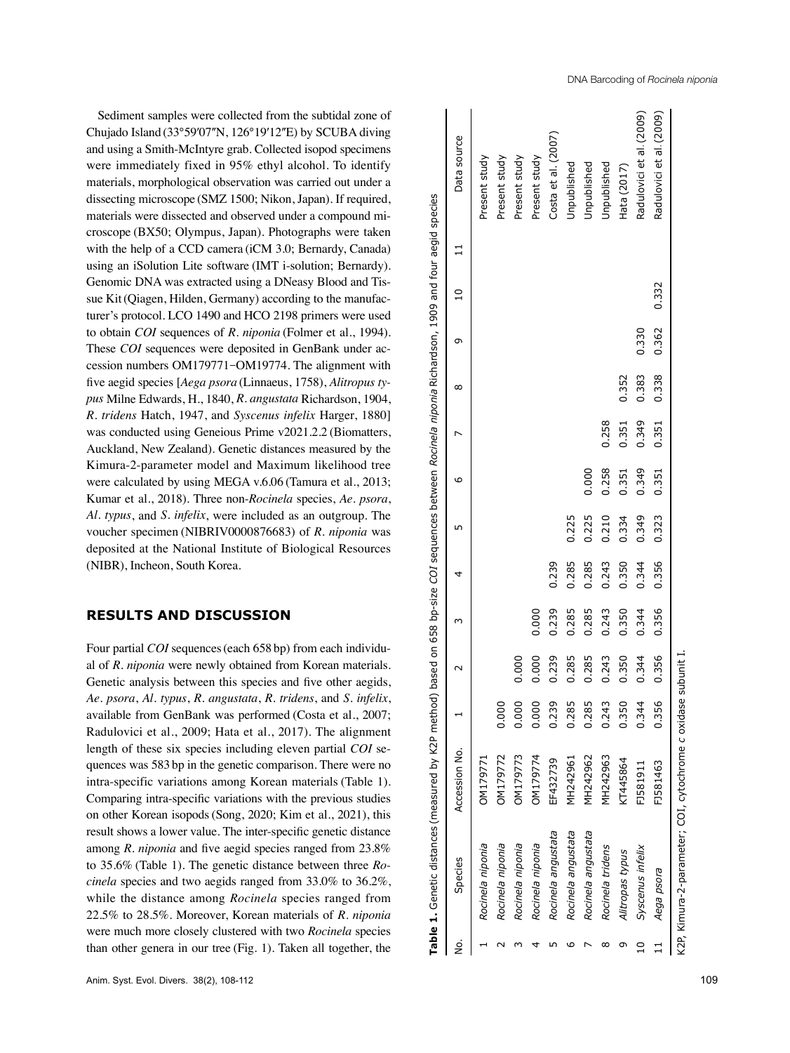Sediment samples were collected from the subtidal zone of Chujado Island (33°59'07"N, 126°19'12"E) by SCUBA diving and using a Smith-McIntyre grab. Collected isopod specimens were immediately fixed in 95% ethyl alcohol. To identify materials, morphological observation was carried out under a dissecting microscope (SMZ 1500; Nikon, Japan). If required, materials were dissected and observed under a compound mi croscope (BX50; Olympus, Japan). Photographs were taken with the help of a CCD camera (iCM 3.0; Bernardy, Canada) using an iSolution Lite software (IMT i-solution; Bernardy). Genomic DNA was extracted using a DNeasy Blood and Tis sue Kit(Qiagen, Hilden, Germany) according to the manufac turer's protocol. LCO 1490 and HCO 2198 primers were used to obtain *COI* sequences of *R. niponia* (Folmer et al., 1994). These *COI* sequences were deposited in GenBank under accession numbers OM179771 -OM19774. The alignment with five aegid species [*Aega psora* (Linnaeus, 1758), *Alitropus ty pus* Milne Edwards, H., 1840, *R. angustata* Richardson, 1904, *R. tridens* Hatch, 1947, and *Syscenus infelix* Harger, 1880] was conducted using Geneious Prime v2021.2.2 (Biomatters, Auckland, New Zealand). Genetic distances measured by the Kimura-2-parameter model and Maximum likelihood tree were calculated by using MEGA v.6.06 (Tamura et al., 2013; Kumar et al., 2018). Three non-*Rocinela* species, *Ae. psora*, *Al. typus*, and *S. infelix*, were included as an outgroup. The voucher specimen (NIBRIV0000876683) of *R. niponia* was deposited at the National Institute of Biological Resources (NIBR), Incheon, South Korea.

## **RESULTS AND DISCUSSION**

Four partial *COI* sequences (each 658 bp) from each individual of *R. niponia* were newly obtained from Korean materials. Genetic analysis between this species and five other aegids, *Ae. psora*, *Al. typus*, *R. angustata*, *R. tridens*, and *S. infelix*, available from GenBank was performed (Costa et al., 2007; Radulovici et al., 2009; Hata et al., 2017). The alignment length of these six species including eleven partial *COI* se quences was 583 bp in the genetic comparison. There were no intra-specific variations among Korean materials (Table 1). Comparing intra-specific variations with the previous studies on other Korean isopods(Song, 2020; Kim et al., 2021), this result shows a lower value. The inter-specific genetic distance among *R. niponia* and five aegid species ranged from 23.8% to 35.6% (Table 1). The genetic distance between three *Ro cinela* species and two aegids ranged from 33.0% to 36.2%, while the distance among *Rocinela* species ranged from 22.5% to 28.5%. Moreover, Korean materials of *R. niponia* were much more closely clustered with two *Rocinela* species than other genera in our tree (Fig. 1). Taken all together, the

| Table 1. Genetic distances (measured by K2P method) based on 658 bp-size COI sequences between Rocinela niponia Richardson, 1909 and four aegid species |               |       |       |       |       |       |       |       |       |       |       |                          |
|---------------------------------------------------------------------------------------------------------------------------------------------------------|---------------|-------|-------|-------|-------|-------|-------|-------|-------|-------|-------|--------------------------|
| Species                                                                                                                                                 | Accession No. |       |       |       |       |       | ١c    |       | ∞     | σ     |       | Data source              |
| Rocinela niponia                                                                                                                                        | OM179771      |       |       |       |       |       |       |       |       |       |       | Present study            |
| Rocinela niponia                                                                                                                                        | OM179772      | 0.000 |       |       |       |       |       |       |       |       |       | Present study            |
| Rocinela niponia                                                                                                                                        | OM179773      | 0.000 | 0.000 |       |       |       |       |       |       |       |       | Present study            |
| Rocinela niponia                                                                                                                                        | DM179774      | 0.000 | 0.000 | 0.000 |       |       |       |       |       |       |       | Present study            |
| Rocinela angustata                                                                                                                                      | EF432739      | 0.239 | 0.239 | 0.239 | 0.239 |       |       |       |       |       |       | Costa et al. (2007)      |
| Rocinela angustata                                                                                                                                      | MH242961      | 0.285 | 0.285 | 0.285 | 0.285 | 0.225 |       |       |       |       |       | Unpublished              |
| Rocinela angustata                                                                                                                                      | MH242962      | 0.285 | 0.285 | 0.285 | 0.285 | 0.225 | 0.000 |       |       |       |       | Jnpublished              |
| Rocinela tridens                                                                                                                                        | MH242963      | 0.243 | 0.243 | 0.243 | 0.243 | 0.210 | 0.258 | 0.258 |       |       |       | <b>Jnpublished</b>       |
| Alitropas typus                                                                                                                                         | KT445864      | 0.350 | 0.350 | 0.350 | 0.350 | 0.334 | 0.351 | 0.351 | 0.352 |       |       | Hata (2017)              |
| Syscenus infelix                                                                                                                                        | FJ581911      | 0.344 | 0.344 | 0.344 | 0.344 | 0.349 | 0.349 | 0.349 | 0.383 | 0.330 |       | Radulovici et al. (2009) |
| Aega psora                                                                                                                                              | FJ581463      | 0.356 | 0.356 | 0.356 | 0.356 | 0.323 | 0.351 | 0.351 | 0.338 | 0.362 | 0.332 | Radulovici et al. (2009) |
|                                                                                                                                                         |               |       |       |       |       |       |       |       |       |       |       |                          |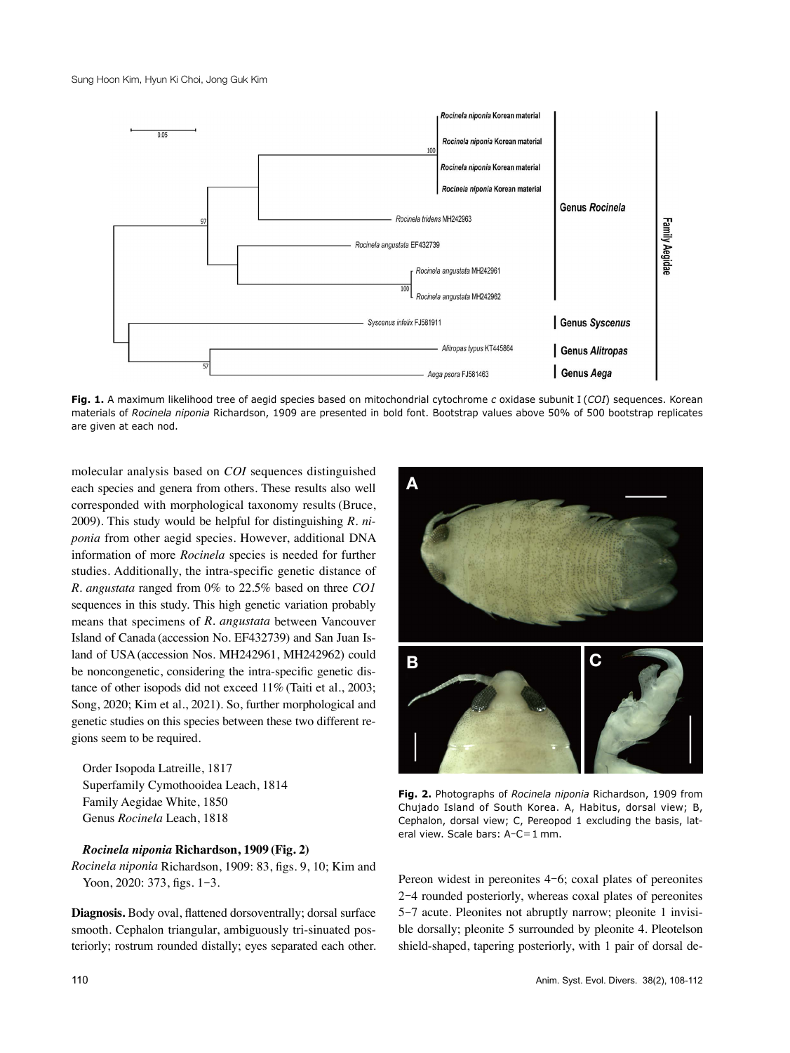

**Fig. 1.** A maximum likelihood tree of aegid species based on mitochondrial cytochrome *c* oxidase subunit I (*COI*) sequences. Korean materials of *Rocinela niponia* Richardson, 1909 are presented in bold font. Bootstrap values above 50% of 500 bootstrap replicates are given at each nod.

molecular analysis based on *COI* sequences distinguished each species and genera from others. These results also well corresponded with morphological taxonomy results (Bruce, 2009). This study would be helpful for distinguishing *R. niponia* from other aegid species. However, additional DNA information of more *Rocinela* species is needed for further studies. Additionally, the intra-specific genetic distance of *R. angustata* ranged from 0% to 22.5% based on three *CO1* sequences in this study. This high genetic variation probably means that specimens of *R. angustata* between Vancouver Island of Canada (accession No. EF432739) and San Juan Island of USA(accession Nos. MH242961, MH242962) could be noncongenetic, considering the intra-specific genetic distance of other isopods did not exceed 11% (Taiti et al., 2003; Song, 2020; Kim et al., 2021). So, further morphological and genetic studies on this species between these two different regions seem to be required.

Order Isopoda Latreille, 1817 Superfamily Cymothooidea Leach, 1814 Family Aegidae White, 1850 Genus *Rocinela* Leach, 1818

### *Rocinela niponia* **Richardson, 1909 (Fig. 2)**

*Rocinela niponia* Richardson, 1909: 83, figs. 9, 10; Kim and Yoon, 2020: 373, figs. 1-3.

**Diagnosis.** Body oval, flattened dorsoventrally; dorsal surface smooth. Cephalon triangular, ambiguously tri-sinuated posteriorly; rostrum rounded distally; eyes separated each other.



**Fig. 2.** Photographs of *Rocinela niponia* Richardson, 1909 from Chujado Island of South Korea. A, Habitus, dorsal view; B, Cephalon, dorsal view; C, Pereopod 1 excluding the basis, lateral view. Scale bars: A-C=1 mm.

Pereon widest in pereonites 4-6; coxal plates of pereonites 2-4 rounded posteriorly, whereas coxal plates of pereonites 5-7 acute. Pleonites not abruptly narrow; pleonite 1 invisible dorsally; pleonite 5 surrounded by pleonite 4. Pleotelson shield-shaped, tapering posteriorly, with 1 pair of dorsal de-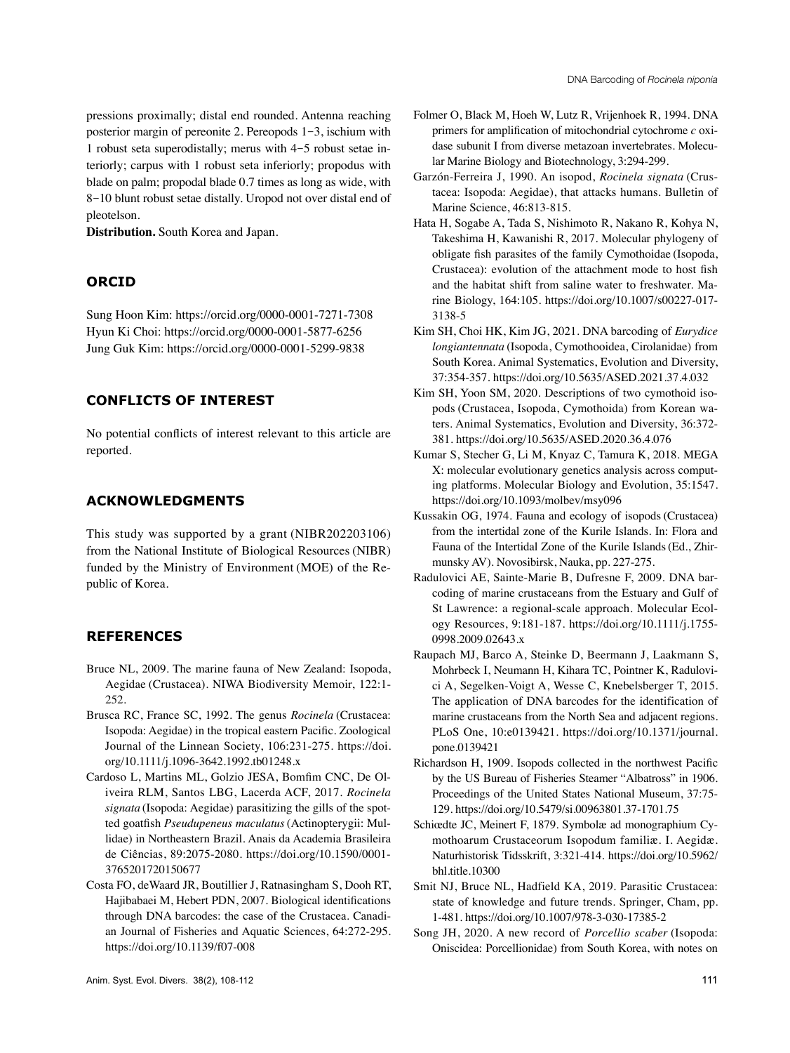pressions proximally; distal end rounded. Antenna reaching posterior margin of pereonite 2. Pereopods 1-3, ischium with 1 robust seta superodistally; merus with 4-5 robust setae interiorly; carpus with 1 robust seta inferiorly; propodus with blade on palm; propodal blade 0.7 times as long as wide, with 8-10 blunt robust setae distally. Uropod not over distal end of pleotelson.

**Distribution.** South Korea and Japan.

## **ORCID**

Sung Hoon Kim: https://orcid.org/0000-0001-7271-7308 Hyun Ki Choi: https://orcid.org/0000-0001-5877-6256 Jung Guk Kim: https://orcid.org/0000-0001-5299-9838

## **CONFLICTS OF INTEREST**

No potential conflicts of interest relevant to this article are reported.

## **ACKNOWLEDGMENTS**

This study was supported by a grant (NIBR202203106) from the National Institute of Biological Resources (NIBR) funded by the Ministry of Environment (MOE) of the Republic of Korea.

## **REFERENCES**

- Bruce NL, 2009. The marine fauna of New Zealand: Isopoda, Aegidae (Crustacea). NIWA Biodiversity Memoir, 122:1- 252.
- Brusca RC, France SC, 1992. The genus *Rocinela* (Crustacea: Isopoda: Aegidae) in the tropical eastern Pacific. Zoological Journal of the Linnean Society, 106:231-275. https://doi. org/10.1111/j.1096-3642.1992.tb01248.x
- Cardoso L, Martins ML, Golzio JESA, Bomfim CNC, De Oliveira RLM, Santos LBG, Lacerda ACF, 2017. *Rocinela signata* (Isopoda: Aegidae) parasitizing the gills of the spotted goatfish *Pseudupeneus maculatus*(Actinopterygii: Mullidae) in Northeastern Brazil. Anais da Academia Brasileira de Ciências, 89:2075-2080. https://doi.org/10.1590/0001- 3765201720150677
- Costa FO, deWaard JR, Boutillier J, Ratnasingham S, Dooh RT, Hajibabaei M, Hebert PDN, 2007. Biological identifications through DNA barcodes: the case of the Crustacea. Canadian Journal of Fisheries and Aquatic Sciences, 64:272-295. https://doi.org/10.1139/f07-008
- Folmer O, Black M, Hoeh W, Lutz R, Vrijenhoek R, 1994. DNA primers for amplification of mitochondrial cytochrome *c* oxidase subunit I from diverse metazoan invertebrates. Molecular Marine Biology and Biotechnology, 3:294-299.
- Garzón-Ferreira J, 1990. An isopod, *Rocinela signata* (Crustacea: Isopoda: Aegidae), that attacks humans. Bulletin of Marine Science, 46:813-815.
- Hata H, Sogabe A, Tada S, Nishimoto R, Nakano R, Kohya N, Takeshima H, Kawanishi R, 2017. Molecular phylogeny of obligate fish parasites of the family Cymothoidae (Isopoda, Crustacea): evolution of the attachment mode to host fish and the habitat shift from saline water to freshwater. Marine Biology, 164:105. https://doi.org/10.1007/s00227-017- 3138-5
- Kim SH, Choi HK, Kim JG, 2021. DNA barcoding of *Eurydice longiantennata* (Isopoda, Cymothooidea, Cirolanidae) from South Korea. Animal Systematics, Evolution and Diversity, 37:354-357. https://doi.org/10.5635/ASED.2021.37.4.032
- Kim SH, Yoon SM, 2020. Descriptions of two cymothoid isopods (Crustacea, Isopoda, Cymothoida) from Korean waters. Animal Systematics, Evolution and Diversity, 36:372- 381. https://doi.org/10.5635/ASED.2020.36.4.076
- Kumar S, Stecher G, Li M, Knyaz C, Tamura K, 2018. MEGA X: molecular evolutionary genetics analysis across computing platforms. Molecular Biology and Evolution, 35:1547. https://doi.org/10.1093/molbev/msy096
- Kussakin OG, 1974. Fauna and ecology of isopods (Crustacea) from the intertidal zone of the Kurile Islands. In: Flora and Fauna of the Intertidal Zone of the Kurile Islands(Ed., Zhirmunsky AV). Novosibirsk, Nauka, pp. 227-275.
- Radulovici AE, Sainte-Marie B, Dufresne F, 2009. DNA barcoding of marine crustaceans from the Estuary and Gulf of St Lawrence: a regional-scale approach. Molecular Ecology Resources, 9:181-187. https://doi.org/10.1111/j.1755- 0998.2009.02643.x
- Raupach MJ, Barco A, Steinke D, Beermann J, Laakmann S, Mohrbeck I, Neumann H, Kihara TC, Pointner K, Radulovici A, Segelken-Voigt A, Wesse C, Knebelsberger T, 2015. The application of DNA barcodes for the identification of marine crustaceans from the North Sea and adjacent regions. PLoS One, 10:e0139421. https://doi.org/10.1371/journal. pone.0139421
- Richardson H, 1909. Isopods collected in the northwest Pacific by the US Bureau of Fisheries Steamer "Albatross" in 1906. Proceedings of the United States National Museum, 37:75- 129. https://doi.org/10.5479/si.00963801.37-1701.75
- Schiœdte JC, Meinert F, 1879. Symbolæ ad monographium Cymothoarum Crustaceorum Isopodum familiæ. I. Aegidæ. Naturhistorisk Tidsskrift, 3:321-414. https://doi.org/10.5962/ bhl.title.10300
- Smit NJ, Bruce NL, Hadfield KA, 2019. Parasitic Crustacea: state of knowledge and future trends. Springer, Cham, pp. 1-481. https://doi.org/10.1007/978-3-030-17385-2
- Song JH, 2020. A new record of *Porcellio scaber* (Isopoda: Oniscidea: Porcellionidae) from South Korea, with notes on